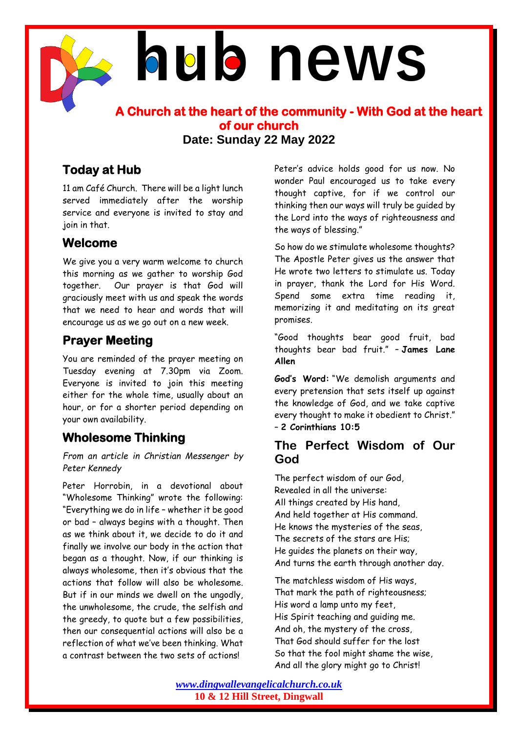# **hub news**

**A Church at the heart of the community - With God at the heart of our church Date: Sunday 22 May 2022**

# **Today at Hub**

11 am Café Church. There will be a light lunch served immediately after the worship service and everyone is invited to stay and join in that.

### **Welcome**

We give you a very warm welcome to church this morning as we gather to worship God together. Our prayer is that God will graciously meet with us and speak the words that we need to hear and words that will encourage us as we go out on a new week.

# **Prayer Meeting**

You are reminded of the prayer meeting on Tuesday evening at 7.30pm via Zoom. Everyone is invited to join this meeting either for the whole time, usually about an hour, or for a shorter period depending on your own availability.

# **Wholesome Thinking**

*From an article in Christian Messenger by Peter Kennedy*

Peter Horrobin, in a devotional about "Wholesome Thinking" wrote the following: "Everything we do in life – whether it be good or bad – always begins with a thought. Then as we think about it, we decide to do it and finally we involve our body in the action that began as a thought. Now, if our thinking is always wholesome, then it's obvious that the actions that follow will also be wholesome. But if in our minds we dwell on the ungodly, the unwholesome, the crude, the selfish and the greedy, to quote but a few possibilities, then our consequential actions will also be a reflection of what we've been thinking. What a contrast between the two sets of actions!

Peter's advice holds good for us now. No wonder Paul encouraged us to take every thought captive, for if we control our thinking then our ways will truly be guided by the Lord into the ways of righteousness and the ways of blessing."

So how do we stimulate wholesome thoughts? The Apostle Peter gives us the answer that He wrote two letters to stimulate us. Today in prayer, thank the Lord for His Word. Spend some extra time reading it, memorizing it and meditating on its great promises.

"Good thoughts bear good fruit, bad thoughts bear bad fruit." – **James Lane Allen**

**God's Word:** "We demolish arguments and every pretension that sets itself up against the knowledge of God, and we take captive every thought to make it obedient to Christ." – **2 Corinthians 10:5** 

### **The Perfect Wisdom of Our God**

The perfect wisdom of our God, Revealed in all the universe: All things created by His hand, And held together at His command. He knows the mysteries of the seas, The secrets of the stars are His; He guides the planets on their way, And turns the earth through another day.

The matchless wisdom of His ways, That mark the path of righteousness; His word a lamp unto my feet, His Spirit teaching and guiding me. And oh, the mystery of the cross, That God should suffer for the lost So that the fool might shame the wise, And all the glory might go to Christ!